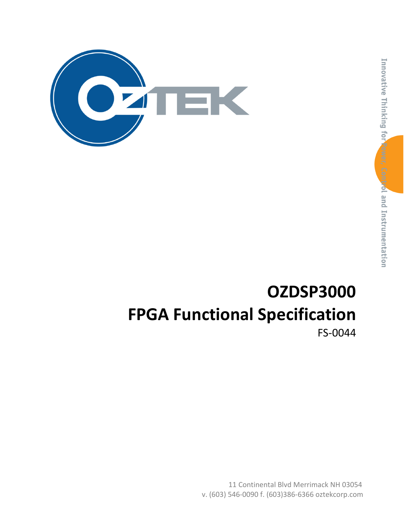

# OZDSP3000 FPGA Functional Specification FS-0044

11 Continental Blvd Merrimack NH 03054 v. (603) 546-0090 f. (603)386-6366 oztekcorp.com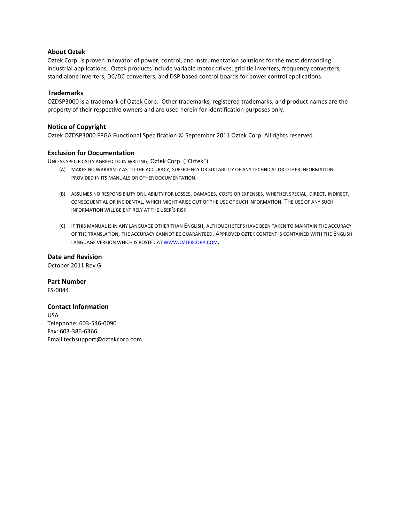#### About Oztek

Oztek Corp. is proven innovator of power, control, and instrumentation solutions for the most demanding industrial applications. Oztek products include variable motor drives, grid tie inverters, frequency converters, stand alone inverters, DC/DC converters, and DSP based control boards for power control applications.

#### **Trademarks**

OZDSP3000 is a trademark of Oztek Corp. Other trademarks, registered trademarks, and product names are the property of their respective owners and are used herein for identification purposes only.

#### Notice of Copyright

Oztek OZDSP3000 FPGA Functional Specification © September 2011 Oztek Corp. All rights reserved.

#### Exclusion for Documentation

UNLESS SPECIFICALLY AGREED TO IN WRITING, Oztek Corp. ("Oztek")

- (A) MAKES NO WARRANTY AS TO THE ACCURACY, SUFFICIENCY OR SUITABILITY OF ANY TECHNICAL OR OTHER INFORMATION PROVIDED IN ITS MANUALS OR OTHER DOCUMENTATION.
- (B) ASSUMES NO RESPONSIBILITY OR LIABILITY FOR LOSSES, DAMAGES, COSTS OR EXPENSES, WHETHER SPECIAL, DIRECT, INDIRECT, CONSEQUENTIAL OR INCIDENTAL, WHICH MIGHT ARISE OUT OF THE USE OF SUCH INFORMATION. THE USE OF ANY SUCH INFORMATION WILL BE ENTIRELY AT THE USER'S RISK.
- (C) IF THIS MANUAL IS IN ANY LANGUAGE OTHER THAN ENGLISH, ALTHOUGH STEPS HAVE BEEN TAKEN TO MAINTAIN THE ACCURACY OF THE TRANSLATION, THE ACCURACY CANNOT BE GUARANTEED. APPROVED OZTEK CONTENT IS CONTAINED WITH THE ENGLISH LANGUAGE VERSION WHICH IS POSTED AT WWW.OZTEKCORP.COM.

Date and Revision October 2011 Rev G

Part Number FS-0044

#### Contact Information

USA Telephone: 603-546-0090 Fax: 603-386-6366 Email techsupport@oztekcorp.com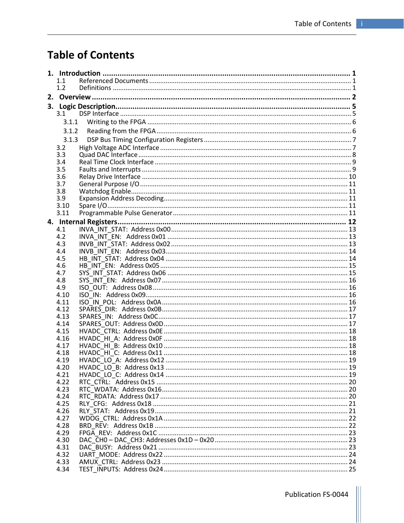## **Table of Contents**

|    | 1.1          |  |
|----|--------------|--|
|    | 1.2          |  |
| 2. |              |  |
| 3. |              |  |
|    | 3.1          |  |
|    | 3.1.1        |  |
|    | 3.1.2        |  |
|    | 3.1.3        |  |
|    | 3.2          |  |
|    | 3.3          |  |
|    | 3.4          |  |
|    | 3.5          |  |
|    | 3.6          |  |
|    | 3.7          |  |
|    | 3.8          |  |
|    | 3.9          |  |
|    | 3.10         |  |
|    | 3.11         |  |
|    |              |  |
|    | 4.1          |  |
|    | 4.2          |  |
|    | 4.3          |  |
|    | 4.4          |  |
|    | 4.5<br>4.6   |  |
|    | 4.7          |  |
|    | 4.8          |  |
|    | 4.9          |  |
|    | 4.10         |  |
|    | 4.11         |  |
|    | 4.12         |  |
|    | 4.13         |  |
|    | 4.14         |  |
|    | 4.15         |  |
|    | 4.16         |  |
|    | 4.17         |  |
|    | 4.18         |  |
|    | 4.19         |  |
|    | 4.20         |  |
|    | 4.21<br>4.22 |  |
|    | 4.23         |  |
|    | 4.24         |  |
|    | 4.25         |  |
|    | 4.26         |  |
|    | 4.27         |  |
|    | 4.28         |  |
|    | 4.29         |  |
|    | 4.30         |  |
|    | 4.31         |  |
|    | 4.32         |  |
|    | 4.33         |  |
|    | 4.34         |  |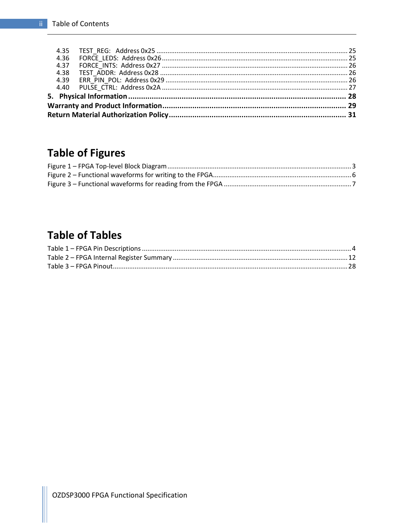| 4.37 |  |
|------|--|
| 4.38 |  |
| 4.39 |  |
|      |  |
|      |  |
|      |  |
|      |  |

## **Table of Figures**

## **Table of Tables**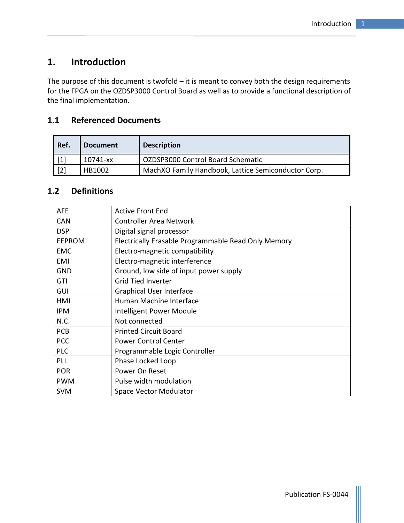## 1. Introduction

The purpose of this document is twofold – it is meant to convey both the design requirements for the FPGA on the OZDSP3000 Control Board as well as to provide a functional description of the final implementation.

## 1.1 Referenced Documents

| Ref.  | <b>Document</b> | <b>Description</b>                                  |
|-------|-----------------|-----------------------------------------------------|
| $[1]$ | 10741-xx        | OZDSP3000 Control Board Schematic                   |
| $[2]$ | HB1002          | MachXO Family Handbook, Lattice Semiconductor Corp. |

#### 1.2 Definitions

| <b>AFE</b>    | <b>Active Front End</b>                             |
|---------------|-----------------------------------------------------|
| <b>CAN</b>    | <b>Controller Area Network</b>                      |
| <b>DSP</b>    | Digital signal processor                            |
| <b>EEPROM</b> | Electrically Erasable Programmable Read Only Memory |
| <b>EMC</b>    | Electro-magnetic compatibility                      |
| EMI           | Electro-magnetic interference                       |
| <b>GND</b>    | Ground, low side of input power supply              |
| GTI           | <b>Grid Tied Inverter</b>                           |
| GUI           | <b>Graphical User Interface</b>                     |
| HMI           | Human Machine Interface                             |
| <b>IPM</b>    | Intelligent Power Module                            |
| N.C.          | Not connected                                       |
| <b>PCB</b>    | <b>Printed Circuit Board</b>                        |
| <b>PCC</b>    | <b>Power Control Center</b>                         |
| <b>PLC</b>    | Programmable Logic Controller                       |
| PLL           | Phase Locked Loop                                   |
| <b>POR</b>    | Power On Reset                                      |
| <b>PWM</b>    | Pulse width modulation                              |
| <b>SVM</b>    | <b>Space Vector Modulator</b>                       |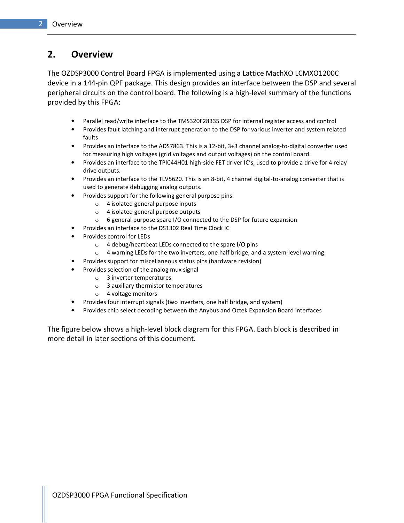## 2. Overview

The OZDSP3000 Control Board FPGA is implemented using a Lattice MachXO LCMXO1200C device in a 144-pin QPF package. This design provides an interface between the DSP and several peripheral circuits on the control board. The following is a high-level summary of the functions provided by this FPGA:

- Parallel read/write interface to the TMS320F28335 DSP for internal register access and control
- Provides fault latching and interrupt generation to the DSP for various inverter and system related faults
- Provides an interface to the ADS7863. This is a 12-bit, 3+3 channel analog-to-digital converter used for measuring high voltages (grid voltages and output voltages) on the control board.
- Provides an interface to the TPIC44H01 high-side FET driver IC's, used to provide a drive for 4 relay drive outputs.
- Provides an interface to the TLV5620. This is an 8-bit, 4 channel digital-to-analog converter that is used to generate debugging analog outputs.
- Provides support for the following general purpose pins:
	- o 4 isolated general purpose inputs
	- o 4 isolated general purpose outputs
	- o 6 general purpose spare I/O connected to the DSP for future expansion
- Provides an interface to the DS1302 Real Time Clock IC
- Provides control for LEDs
	- o 4 debug/heartbeat LEDs connected to the spare I/O pins
	- $\circ$  4 warning LEDs for the two inverters, one half bridge, and a system-level warning
- Provides support for miscellaneous status pins (hardware revision)
- Provides selection of the analog mux signal
	- o 3 inverter temperatures
	- o 3 auxiliary thermistor temperatures
	- o 4 voltage monitors
- Provides four interrupt signals (two inverters, one half bridge, and system)
- Provides chip select decoding between the Anybus and Oztek Expansion Board interfaces

The figure below shows a high-level block diagram for this FPGA. Each block is described in more detail in later sections of this document.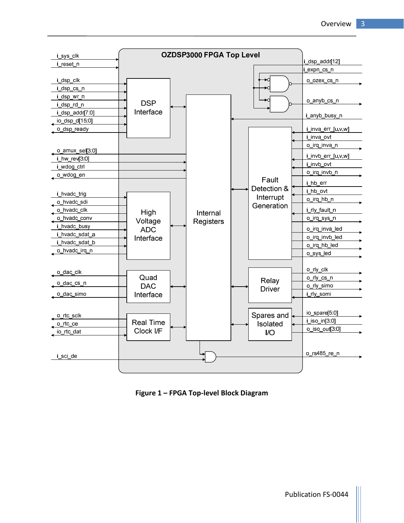

Figure 1 – FPGA Top-level Block Diagram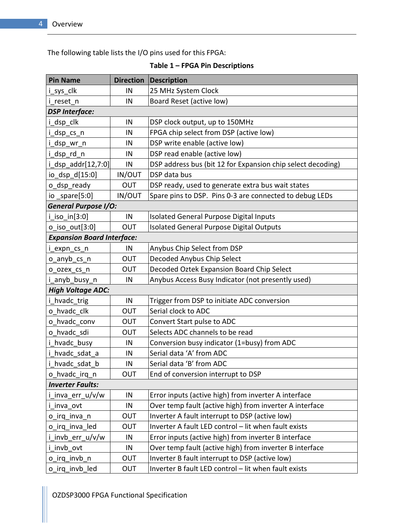The following table lists the I/O pins used for this FPGA:

Table 1 – FPGA Pin Descriptions

| <b>Pin Name</b>                   | <b>Direction</b> | Description                                                 |
|-----------------------------------|------------------|-------------------------------------------------------------|
| i_sys_clk                         | IN               | 25 MHz System Clock                                         |
| i reset n                         | IN               | Board Reset (active low)                                    |
| <b>DSP Interface:</b>             |                  |                                                             |
| i_dsp_clk                         | IN               | DSP clock output, up to 150MHz                              |
| i_dsp_cs_n                        | IN               | FPGA chip select from DSP (active low)                      |
| i_dsp_wr_n                        | IN               | DSP write enable (active low)                               |
| i dsp rd n                        | IN               | DSP read enable (active low)                                |
| i_dsp_addr[12,7:0]                | IN               | DSP address bus (bit 12 for Expansion chip select decoding) |
| io_dsp_d[15:0]                    | IN/OUT           | DSP data bus                                                |
| o_dsp_ready                       | <b>OUT</b>       | DSP ready, used to generate extra bus wait states           |
| io _spare $[5:0]$                 | <b>IN/OUT</b>    | Spare pins to DSP. Pins 0-3 are connected to debug LEDs     |
| <b>General Purpose I/O:</b>       |                  |                                                             |
| $i$ _iso_in $[3:0]$               | IN               | Isolated General Purpose Digital Inputs                     |
| $o$ iso $out[3:0]$                | OUT              | Isolated General Purpose Digital Outputs                    |
| <b>Expansion Board Interface:</b> |                  |                                                             |
| i_expn_cs_n                       | IN               | Anybus Chip Select from DSP                                 |
| o anyb cs n                       | OUT              | Decoded Anybus Chip Select                                  |
| o_ozex_cs_n                       | OUT              | Decoded Oztek Expansion Board Chip Select                   |
| i anyb busy n                     | IN               | Anybus Access Busy Indicator (not presently used)           |
| <b>High Voltage ADC:</b>          |                  |                                                             |
| i_hvadc_trig                      | IN               | Trigger from DSP to initiate ADC conversion                 |
| o hvadc clk                       | OUT              | Serial clock to ADC                                         |
| o hvadc conv                      | OUT              | Convert Start pulse to ADC                                  |
| o hvadc sdi                       | OUT              | Selects ADC channels to be read                             |
| i hvadc busy                      | IN               | Conversion busy indicator (1=busy) from ADC                 |
| i hvadc sdat a                    | IN               | Serial data 'A' from ADC                                    |
| hvadc_sdat_b                      | IN               | Serial data 'B' from ADC                                    |
| o_hvadc_irq_n                     | <b>OUT</b>       | End of conversion interrupt to DSP                          |
| <b>Inverter Faults:</b>           |                  |                                                             |
| i inva err u/v/w                  | IN               | Error inputs (active high) from inverter A interface        |
| i_inva_ovt                        | ${\sf IN}$       | Over temp fault (active high) from inverter A interface     |
| o irq_inva_n                      | OUT              | Inverter A fault interrupt to DSP (active low)              |
| o irq inva led                    | OUT              | Inverter A fault LED control - lit when fault exists        |
| i_invb_err_u/v/w                  | IN               | Error inputs (active high) from inverter B interface        |
| i invb ovt                        | IN               | Over temp fault (active high) from inverter B interface     |
| o_irq_invb_n                      | <b>OUT</b>       | Inverter B fault interrupt to DSP (active low)              |
| o_irq_invb_led                    | <b>OUT</b>       | Inverter B fault LED control - lit when fault exists        |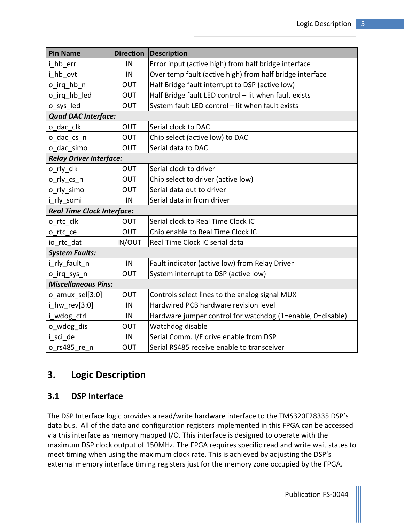| <b>Pin Name</b>                   | <b>Direction</b> | <b>Description</b>                                         |  |  |  |  |  |  |
|-----------------------------------|------------------|------------------------------------------------------------|--|--|--|--|--|--|
| i hb err                          | IN               | Error input (active high) from half bridge interface       |  |  |  |  |  |  |
| hb ovt                            | IN               | Over temp fault (active high) from half bridge interface   |  |  |  |  |  |  |
| o irq hb n                        | OUT              | Half Bridge fault interrupt to DSP (active low)            |  |  |  |  |  |  |
| o_irq_hb_led                      | OUT              | Half Bridge fault LED control - lit when fault exists      |  |  |  |  |  |  |
| o_sys_led                         | OUT              | System fault LED control - lit when fault exists           |  |  |  |  |  |  |
| <b>Quad DAC Interface:</b>        |                  |                                                            |  |  |  |  |  |  |
| o dac clk                         | <b>OUT</b>       | Serial clock to DAC                                        |  |  |  |  |  |  |
| o dac cs n                        | <b>OUT</b>       | Chip select (active low) to DAC                            |  |  |  |  |  |  |
| o dac simo                        | <b>OUT</b>       | Serial data to DAC                                         |  |  |  |  |  |  |
| <b>Relay Driver Interface:</b>    |                  |                                                            |  |  |  |  |  |  |
| o_rly_clk                         | OUT              | Serial clock to driver                                     |  |  |  |  |  |  |
| o_rly_cs_n                        | OUT              | Chip select to driver (active low)                         |  |  |  |  |  |  |
| o rly simo                        | OUT              | Serial data out to driver                                  |  |  |  |  |  |  |
| i rly somi                        | IN               | Serial data in from driver                                 |  |  |  |  |  |  |
| <b>Real Time Clock Interface:</b> |                  |                                                            |  |  |  |  |  |  |
| o rtc clk                         | OUT              | Serial clock to Real Time Clock IC                         |  |  |  |  |  |  |
| o rtc ce                          | OUT              | Chip enable to Real Time Clock IC                          |  |  |  |  |  |  |
| io rtc dat                        | IN/OUT           | Real Time Clock IC serial data                             |  |  |  |  |  |  |
| <b>System Faults:</b>             |                  |                                                            |  |  |  |  |  |  |
| i rly fault n                     | $\sf IN$         | Fault indicator (active low) from Relay Driver             |  |  |  |  |  |  |
| o_irq_sys_n                       | OUT              | System interrupt to DSP (active low)                       |  |  |  |  |  |  |
| <b>Miscellaneous Pins:</b>        |                  |                                                            |  |  |  |  |  |  |
| $o$ amux sel $[3:0]$              | <b>OUT</b>       | Controls select lines to the analog signal MUX             |  |  |  |  |  |  |
| i hw rev[3:0]                     | IN               | Hardwired PCB hardware revision level                      |  |  |  |  |  |  |
| i wdog ctrl                       | IN               | Hardware jumper control for watchdog (1=enable, 0=disable) |  |  |  |  |  |  |
| o_wdog_dis                        | <b>OUT</b>       | Watchdog disable                                           |  |  |  |  |  |  |
| i sci de                          | IN               | Serial Comm. I/F drive enable from DSP                     |  |  |  |  |  |  |
| o rs485 re n                      | <b>OUT</b>       | Serial RS485 receive enable to transceiver                 |  |  |  |  |  |  |

## 3. Logic Description

## 3.1 DSP Interface

The DSP Interface logic provides a read/write hardware interface to the TMS320F28335 DSP's data bus. All of the data and configuration registers implemented in this FPGA can be accessed via this interface as memory mapped I/O. This interface is designed to operate with the maximum DSP clock output of 150MHz. The FPGA requires specific read and write wait states to meet timing when using the maximum clock rate. This is achieved by adjusting the DSP's external memory interface timing registers just for the memory zone occupied by the FPGA.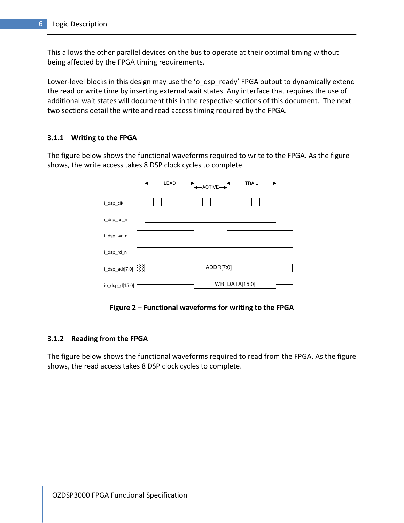This allows the other parallel devices on the bus to operate at their optimal timing without being affected by the FPGA timing requirements.

Lower-level blocks in this design may use the 'o\_dsp\_ready' FPGA output to dynamically extend the read or write time by inserting external wait states. Any interface that requires the use of additional wait states will document this in the respective sections of this document. The next two sections detail the write and read access timing required by the FPGA.

#### 3.1.1 Writing to the FPGA

The figure below shows the functional waveforms required to write to the FPGA. As the figure shows, the write access takes 8 DSP clock cycles to complete.

|                | -LEAD | ←ACTIVE <sup>→</sup> | -TRAIL- |
|----------------|-------|----------------------|---------|
| i_dsp_clk      |       |                      |         |
| i_dsp_cs_n     |       |                      |         |
| i_dsp_wr_n     |       |                      |         |
| i_dsp_rd_n     |       |                      |         |
| i_dsp_adr[7:0] | B     | ADDR[7:0]            |         |
| io_dsp_d[15:0] |       | WR_DATA[15:0]        |         |

Figure 2 – Functional waveforms for writing to the FPGA

#### 3.1.2 Reading from the FPGA

The figure below shows the functional waveforms required to read from the FPGA. As the figure shows, the read access takes 8 DSP clock cycles to complete.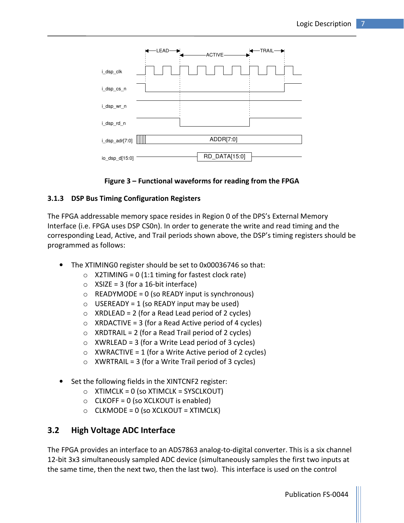

#### Figure 3 – Functional waveforms for reading from the FPGA

#### 3.1.3 DSP Bus Timing Configuration Registers

The FPGA addressable memory space resides in Region 0 of the DPS's External Memory Interface (i.e. FPGA uses DSP CS0n). In order to generate the write and read timing and the corresponding Lead, Active, and Trail periods shown above, the DSP's timing registers should be programmed as follows:

- The XTIMING0 register should be set to 0x00036746 so that:
	- $\circ$  X2TIMING = 0 (1:1 timing for fastest clock rate)
	- $\circ$  XSIZE = 3 (for a 16-bit interface)
	- $\circ$  READYMODE = 0 (so READY input is synchronous)
	- $\circ$  USEREADY = 1 (so READY input may be used)
	- $\circ$  XRDLEAD = 2 (for a Read Lead period of 2 cycles)
	- $\circ$  XRDACTIVE = 3 (for a Read Active period of 4 cycles)
	- $\circ$  XRDTRAIL = 2 (for a Read Trail period of 2 cycles)
	- $\circ$  XWRLEAD = 3 (for a Write Lead period of 3 cycles)
	- $\circ$  XWRACTIVE = 1 (for a Write Active period of 2 cycles)
	- $\circ$  XWRTRAIL = 3 (for a Write Trail period of 3 cycles)
- Set the following fields in the XINTCNF2 register:
	- $\circ$  XTIMCLK = 0 (so XTIMCLK = SYSCLKOUT)
	- $\circ$  CLKOFF = 0 (so XCLKOUT is enabled)
	- $\circ$  CLKMODE = 0 (so XCLKOUT = XTIMCLK)

#### 3.2 High Voltage ADC Interface

The FPGA provides an interface to an ADS7863 analog-to-digital converter. This is a six channel 12-bit 3x3 simultaneously sampled ADC device (simultaneously samples the first two inputs at the same time, then the next two, then the last two). This interface is used on the control

Publication FS-0044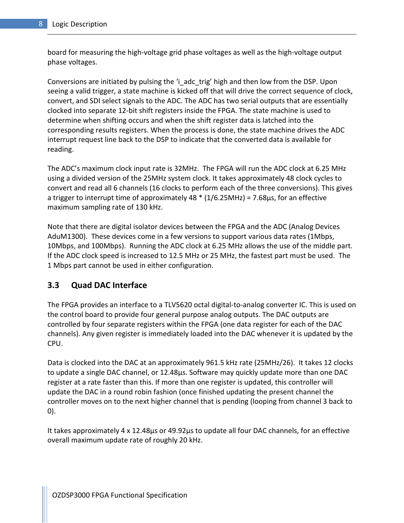board for measuring the high-voltage grid phase voltages as well as the high-voltage output phase voltages.

Conversions are initiated by pulsing the 'i adc trig' high and then low from the DSP. Upon seeing a valid trigger, a state machine is kicked off that will drive the correct sequence of clock, convert, and SDI select signals to the ADC. The ADC has two serial outputs that are essentially clocked into separate 12-bit shift registers inside the FPGA. The state machine is used to determine when shifting occurs and when the shift register data is latched into the corresponding results registers. When the process is done, the state machine drives the ADC interrupt request line back to the DSP to indicate that the converted data is available for reading.

The ADC's maximum clock input rate is 32MHz. The FPGA will run the ADC clock at 6.25 MHz using a divided version of the 25MHz system clock. It takes approximately 48 clock cycles to convert and read all 6 channels (16 clocks to perform each of the three conversions). This gives a trigger to interrupt time of approximately 48  $*$  (1/6.25MHz) = 7.68 $\mu$ s, for an effective maximum sampling rate of 130 kHz.

Note that there are digital isolator devices between the FPGA and the ADC (Analog Devices AduM1300). These devices come in a few versions to support various data rates (1Mbps, 10Mbps, and 100Mbps). Running the ADC clock at 6.25 MHz allows the use of the middle part. If the ADC clock speed is increased to 12.5 MHz or 25 MHz, the fastest part must be used. The 1 Mbps part cannot be used in either configuration.

#### 3.3 Quad DAC Interface

The FPGA provides an interface to a TLV5620 octal digital-to-analog converter IC. This is used on the control board to provide four general purpose analog outputs. The DAC outputs are controlled by four separate registers within the FPGA (one data register for each of the DAC channels). Any given register is immediately loaded into the DAC whenever it is updated by the CPU.

Data is clocked into the DAC at an approximately 961.5 kHz rate (25MHz/26). It takes 12 clocks to update a single DAC channel, or 12.48μs. Software may quickly update more than one DAC register at a rate faster than this. If more than one register is updated, this controller will update the DAC in a round robin fashion (once finished updating the present channel the controller moves on to the next higher channel that is pending (looping from channel 3 back to 0).

It takes approximately 4 x 12.48μs or 49.92μs to update all four DAC channels, for an effective overall maximum update rate of roughly 20 kHz.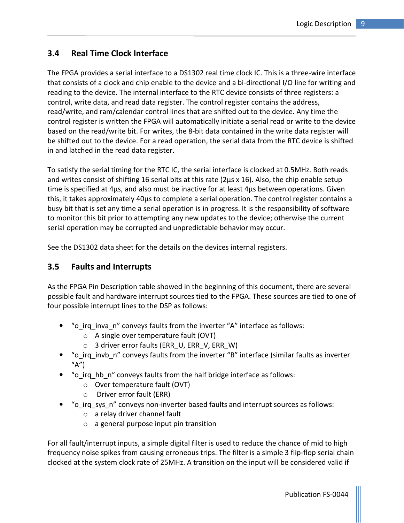#### 3.4 Real Time Clock Interface

The FPGA provides a serial interface to a DS1302 real time clock IC. This is a three-wire interface that consists of a clock and chip enable to the device and a bi-directional I/O line for writing and reading to the device. The internal interface to the RTC device consists of three registers: a control, write data, and read data register. The control register contains the address, read/write, and ram/calendar control lines that are shifted out to the device. Any time the control register is written the FPGA will automatically initiate a serial read or write to the device based on the read/write bit. For writes, the 8-bit data contained in the write data register will be shifted out to the device. For a read operation, the serial data from the RTC device is shifted in and latched in the read data register.

To satisfy the serial timing for the RTC IC, the serial interface is clocked at 0.5MHz. Both reads and writes consist of shifting 16 serial bits at this rate (2μs x 16). Also, the chip enable setup time is specified at 4μs, and also must be inactive for at least 4μs between operations. Given this, it takes approximately 40μs to complete a serial operation. The control register contains a busy bit that is set any time a serial operation is in progress. It is the responsibility of software to monitor this bit prior to attempting any new updates to the device; otherwise the current serial operation may be corrupted and unpredictable behavior may occur.

See the DS1302 data sheet for the details on the devices internal registers.

#### 3.5 Faults and Interrupts

As the FPGA Pin Description table showed in the beginning of this document, there are several possible fault and hardware interrupt sources tied to the FPGA. These sources are tied to one of four possible interrupt lines to the DSP as follows:

- "o\_irq\_inva\_n" conveys faults from the inverter "A" interface as follows:
	- o A single over temperature fault (OVT)
	- $\circ$  3 driver error faults (ERR U, ERR V, ERR W)
- "o\_irq\_invb\_n" conveys faults from the inverter "B" interface (similar faults as inverter  $''A'$
- "o\_irq\_hb\_n" conveys faults from the half bridge interface as follows:
	- o Over temperature fault (OVT)
	- o Driver error fault (ERR)
- "o\_irq\_sys\_n" conveys non-inverter based faults and interrupt sources as follows:
	- o a relay driver channel fault
	- o a general purpose input pin transition

For all fault/interrupt inputs, a simple digital filter is used to reduce the chance of mid to high frequency noise spikes from causing erroneous trips. The filter is a simple 3 flip-flop serial chain clocked at the system clock rate of 25MHz. A transition on the input will be considered valid if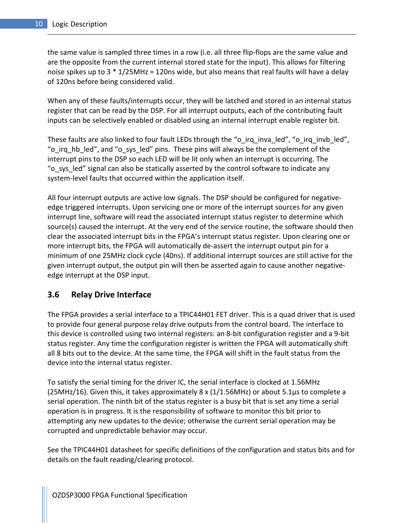the same value is sampled three times in a row (i.e. all three flip-flops are the same value and are the opposite from the current internal stored state for the input). This allows for filtering noise spikes up to 3 \* 1/25MHz = 120ns wide, but also means that real faults will have a delay of 120ns before being considered valid.

When any of these faults/interrupts occur, they will be latched and stored in an internal status register that can be read by the DSP. For all interrupt outputs, each of the contributing fault inputs can be selectively enabled or disabled using an internal interrupt enable register bit.

These faults are also linked to four fault LEDs through the "o\_irq\_inva\_led", "o\_irq\_invb\_led", "o\_irq\_hb\_led", and "o\_sys\_led" pins. These pins will always be the complement of the interrupt pins to the DSP so each LED will be lit only when an interrupt is occurring. The "o\_sys\_led" signal can also be statically asserted by the control software to indicate any system-level faults that occurred within the application itself.

All four interrupt outputs are active low signals. The DSP should be configured for negativeedge triggered interrupts. Upon servicing one or more of the interrupt sources for any given interrupt line, software will read the associated interrupt status register to determine which source(s) caused the interrupt. At the very end of the service routine, the software should then clear the associated interrupt bits in the FPGA's interrupt status register. Upon clearing one or more interrupt bits, the FPGA will automatically de-assert the interrupt output pin for a minimum of one 25MHz clock cycle (40ns). If additional interrupt sources are still active for the given interrupt output, the output pin will then be asserted again to cause another negativeedge interrupt at the DSP input.

#### 3.6 Relay Drive Interface

The FPGA provides a serial interface to a TPIC44H01 FET driver. This is a quad driver that is used to provide four general purpose relay drive outputs from the control board. The interface to this device is controlled using two internal registers: an 8-bit configuration register and a 9-bit status register. Any time the configuration register is written the FPGA will automatically shift all 8 bits out to the device. At the same time, the FPGA will shift in the fault status from the device into the internal status register.

To satisfy the serial timing for the driver IC, the serial interface is clocked at 1.56MHz (25MHz/16). Given this, it takes approximately 8 x (1/1.56MHz) or about 5.1μs to complete a serial operation. The ninth bit of the status register is a busy bit that is set any time a serial operation is in progress. It is the responsibility of software to monitor this bit prior to attempting any new updates to the device; otherwise the current serial operation may be corrupted and unpredictable behavior may occur.

See the TPIC44H01 datasheet for specific definitions of the configuration and status bits and for details on the fault reading/clearing protocol.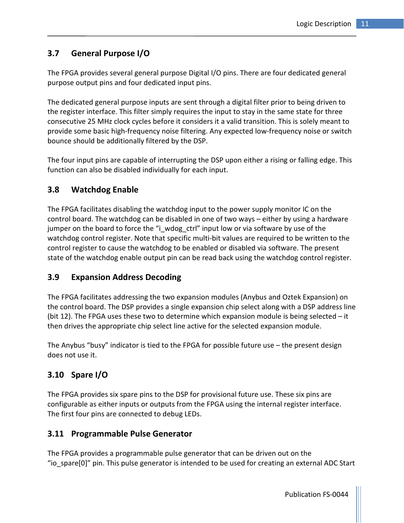### 3.7 General Purpose I/O

The FPGA provides several general purpose Digital I/O pins. There are four dedicated general purpose output pins and four dedicated input pins.

The dedicated general purpose inputs are sent through a digital filter prior to being driven to the register interface. This filter simply requires the input to stay in the same state for three consecutive 25 MHz clock cycles before it considers it a valid transition. This is solely meant to provide some basic high-frequency noise filtering. Any expected low-frequency noise or switch bounce should be additionally filtered by the DSP.

The four input pins are capable of interrupting the DSP upon either a rising or falling edge. This function can also be disabled individually for each input.

#### 3.8 Watchdog Enable

The FPGA facilitates disabling the watchdog input to the power supply monitor IC on the control board. The watchdog can be disabled in one of two ways – either by using a hardware jumper on the board to force the "i\_wdog\_ctrl" input low or via software by use of the watchdog control register. Note that specific multi-bit values are required to be written to the control register to cause the watchdog to be enabled or disabled via software. The present state of the watchdog enable output pin can be read back using the watchdog control register.

#### 3.9 Expansion Address Decoding

The FPGA facilitates addressing the two expansion modules (Anybus and Oztek Expansion) on the control board. The DSP provides a single expansion chip select along with a DSP address line (bit 12). The FPGA uses these two to determine which expansion module is being selected – it then drives the appropriate chip select line active for the selected expansion module.

The Anybus "busy" indicator is tied to the FPGA for possible future use – the present design does not use it.

### 3.10 Spare I/O

The FPGA provides six spare pins to the DSP for provisional future use. These six pins are configurable as either inputs or outputs from the FPGA using the internal register interface. The first four pins are connected to debug LEDs.

#### 3.11 Programmable Pulse Generator

The FPGA provides a programmable pulse generator that can be driven out on the "io\_spare[0]" pin. This pulse generator is intended to be used for creating an external ADC Start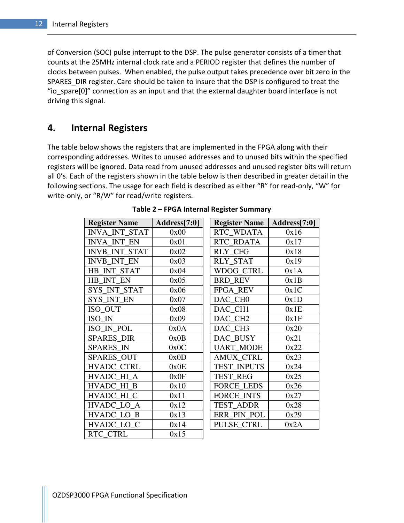of Conversion (SOC) pulse interrupt to the DSP. The pulse generator consists of a timer that counts at the 25MHz internal clock rate and a PERIOD register that defines the number of clocks between pulses. When enabled, the pulse output takes precedence over bit zero in the SPARES DIR register. Care should be taken to insure that the DSP is configured to treat the "io\_spare[0]" connection as an input and that the external daughter board interface is not driving this signal.

#### 4. Internal Registers

The table below shows the registers that are implemented in the FPGA along with their corresponding addresses. Writes to unused addresses and to unused bits within the specified registers will be ignored. Data read from unused addresses and unused register bits will return all 0's. Each of the registers shown in the table below is then described in greater detail in the following sections. The usage for each field is described as either "R" for read-only, "W" for write-only, or "R/W" for read/write registers.

| <b>Register Name</b> | Address[7:0] | <b>Register Name</b> | Address[7:0] |
|----------------------|--------------|----------------------|--------------|
| <b>INVA INT STAT</b> | 0x00         | RTC_WDATA            | 0x16         |
| <b>INVA INT EN</b>   | 0x01         | RTC RDATA            | 0x17         |
| <b>INVB INT STAT</b> | 0x02         | <b>RLY CFG</b>       | 0x18         |
| <b>INVB_INT_EN</b>   | 0x03         | <b>RLY_STAT</b>      | 0x19         |
| HB INT STAT          | 0x04         | WDOG CTRL            | 0x1A         |
| HB INT EN            | 0x05         | <b>BRD REV</b>       | 0x1B         |
| SYS_INT_STAT         | 0x06         | <b>FPGA REV</b>      | 0x1C         |
| SYS INT EN           | 0x07         | DAC CHO              | 0x1D         |
| ISO_OUT              | 0x08         | DAC CH1              | 0x1E         |
| ISO IN               | 0x09         | DAC_CH <sub>2</sub>  | 0x1F         |
| ISO IN POL           | 0x0A         | DAC CH3              | 0x20         |
| <b>SPARES DIR</b>    | 0x0B         | DAC BUSY             | 0x21         |
| <b>SPARES IN</b>     | 0x0C         | <b>UART_MODE</b>     | 0x22         |
| SPARES_OUT           | 0x0D         | <b>AMUX CTRL</b>     | 0x23         |
| <b>HVADC CTRL</b>    | 0x0E         | <b>TEST INPUTS</b>   | 0x24         |
| HVADC HI A           | 0x0F         | <b>TEST REG</b>      | 0x25         |
| HVADC_HI_B           | 0x10         | <b>FORCE LEDS</b>    | 0x26         |
| HVADC HI C           | 0x11         | <b>FORCE INTS</b>    | 0x27         |
| HVADC LO A           | 0x12         | <b>TEST ADDR</b>     | 0x28         |
| HVADC LO B           | 0x13         | ERR_PIN_POL          | 0x29         |
| HVADC_LO_C           | 0x14         | PULSE CTRL           | 0x2A         |
| <b>RTC CTRL</b>      | 0x15         |                      |              |

Table 2 – FPGA Internal Register Summary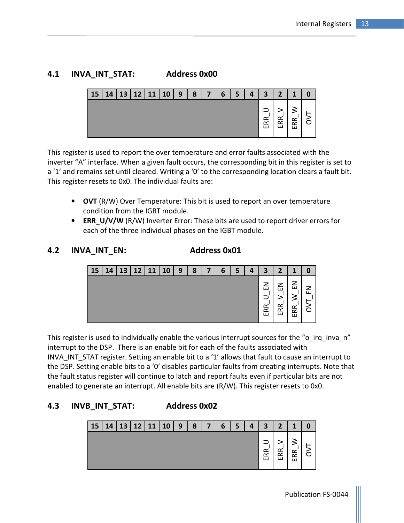### 4.1 INVA\_INT\_STAT: Address 0x00



This register is used to report the over temperature and error faults associated with the inverter "A" interface. When a given fault occurs, the corresponding bit in this register is set to a '1' and remains set until cleared. Writing a '0' to the corresponding location clears a fault bit. This register resets to 0x0. The individual faults are:

- OVT (R/W) Over Temperature: This bit is used to report an over temperature condition from the IGBT module.
- ERR\_U/V/W (R/W) Inverter Error: These bits are used to report driver errors for each of the three individual phases on the IGBT module.

#### 4.2 INVA INT EN: Address 0x01

| 15 | 14 | 13 | 12 | 11 | 10 | 9 | 8 | 7 | 6 | 5 | 4 | 3        | 2                                     | 1                |  |
|----|----|----|----|----|----|---|---|---|---|---|---|----------|---------------------------------------|------------------|--|
|    |    |    |    |    |    |   |   |   |   |   |   | 룹<br>ERR | –<br>ш<br>$\propto$<br>$\propto$<br>ш | z<br>≃<br>≃<br>ш |  |

This register is used to individually enable the various interrupt sources for the "o\_irq\_inva\_n" interrupt to the DSP. There is an enable bit for each of the faults associated with INVA INT STAT register. Setting an enable bit to a '1' allows that fault to cause an interrupt to the DSP. Setting enable bits to a '0' disables particular faults from creating interrupts. Note that the fault status register will continue to latch and report faults even if particular bits are not enabled to generate an interrupt. All enable bits are (R/W). This register resets to 0x0.

## 4.3 INVB\_INT\_STAT: Address 0x02

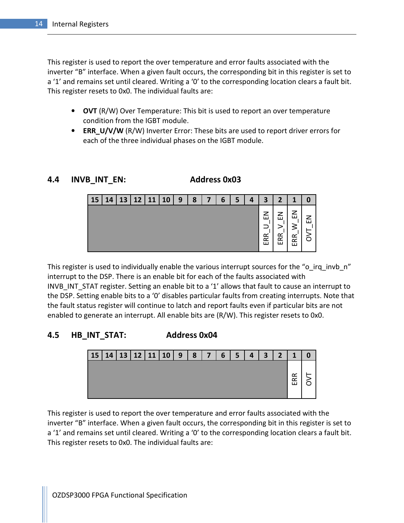This register is used to report the over temperature and error faults associated with the inverter "B" interface. When a given fault occurs, the corresponding bit in this register is set to a '1' and remains set until cleared. Writing a '0' to the corresponding location clears a fault bit. This register resets to 0x0. The individual faults are:

- OVT (R/W) Over Temperature: This bit is used to report an over temperature condition from the IGBT module.
- ERR\_U/V/W (R/W) Inverter Error: These bits are used to report driver errors for each of the three individual phases on the IGBT module.

#### 4.4 INVB INT EN: Address 0x03

| 15 | 14 | 13 | 12 | 11 | <b>10</b> | 9 | 8 | 7 | 6 | 5 | 4 | 3                | $\overline{2}$               | 1                |              |
|----|----|----|----|----|-----------|---|---|---|---|---|---|------------------|------------------------------|------------------|--------------|
|    |    |    |    |    |           |   |   |   |   |   |   | z<br>ш<br>Æ<br>ш | ᅎ<br>111<br>$\sim$<br>$\Box$ | ш<br>≤<br>≃<br>≃ | $\mathbf{I}$ |

This register is used to individually enable the various interrupt sources for the "o\_irq\_invb\_n" interrupt to the DSP. There is an enable bit for each of the faults associated with INVB INT STAT register. Setting an enable bit to a '1' allows that fault to cause an interrupt to the DSP. Setting enable bits to a '0' disables particular faults from creating interrupts. Note that the fault status register will continue to latch and report faults even if particular bits are not enabled to generate an interrupt. All enable bits are (R/W). This register resets to 0x0.

### 4.5 HB\_INT\_STAT: Address 0x04



This register is used to report the over temperature and error faults associated with the inverter "B" interface. When a given fault occurs, the corresponding bit in this register is set to a '1' and remains set until cleared. Writing a '0' to the corresponding location clears a fault bit. This register resets to 0x0. The individual faults are: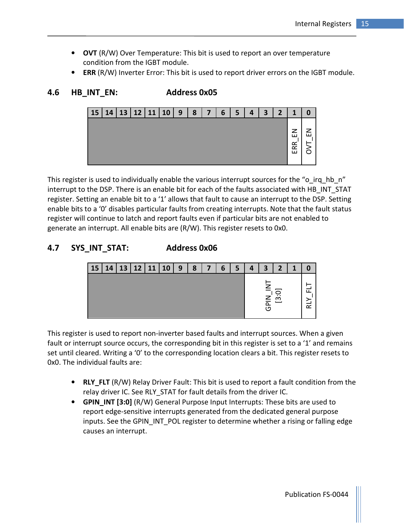- OVT (R/W) Over Temperature: This bit is used to report an over temperature condition from the IGBT module.
- ERR (R/W) Inverter Error: This bit is used to report driver errors on the IGBT module.

```
15 | 14 | 13 | 12 | 11 | 10 | 9 | 8 | 7 | 6 | 5 | 4 | 3 | 2 | 1 | 0
                                                        ERR_EN OVT_EN
```
This register is used to individually enable the various interrupt sources for the "o irq hb n" interrupt to the DSP. There is an enable bit for each of the faults associated with HB\_INT\_STAT register. Setting an enable bit to a '1' allows that fault to cause an interrupt to the DSP. Setting enable bits to a '0' disables particular faults from creating interrupts. Note that the fault status register will continue to latch and report faults even if particular bits are not enabled to generate an interrupt. All enable bits are (R/W). This register resets to 0x0.

### 4.7 SYS\_INT\_STAT: Address 0x06

4.6 HB\_INT\_EN: Address 0x05



This register is used to report non-inverter based faults and interrupt sources. When a given fault or interrupt source occurs, the corresponding bit in this register is set to a '1' and remains set until cleared. Writing a '0' to the corresponding location clears a bit. This register resets to 0x0. The individual faults are:

- RLY FLT (R/W) Relay Driver Fault: This bit is used to report a fault condition from the relay driver IC. See RLY STAT for fault details from the driver IC.
- GPIN INT [3:0] (R/W) General Purpose Input Interrupts: These bits are used to report edge-sensitive interrupts generated from the dedicated general purpose inputs. See the GPIN INT POL register to determine whether a rising or falling edge causes an interrupt.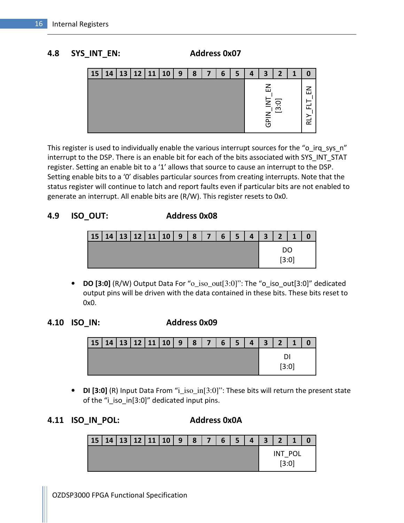#### 4.8 SYS\_INT\_EN: Address 0x07



This register is used to individually enable the various interrupt sources for the "o\_irq\_sys\_n" interrupt to the DSP. There is an enable bit for each of the bits associated with SYS\_INT\_STAT register. Setting an enable bit to a '1' allows that source to cause an interrupt to the DSP. Setting enable bits to a '0' disables particular sources from creating interrupts. Note that the status register will continue to latch and report faults even if particular bits are not enabled to generate an interrupt. All enable bits are (R/W). This register resets to 0x0.

#### 4.9 ISO\_OUT: Address 0x08

| 15   14   13   12   11   10   9   8   7   6   5   4   3   2   1 |  |  |  |  |  |       |  |
|-----------------------------------------------------------------|--|--|--|--|--|-------|--|
|                                                                 |  |  |  |  |  | [3:0] |  |

• DO [3:0] (R/W) Output Data For "o\_iso\_out[3:0]": The "o\_iso\_out[3:0]" dedicated output pins will be driven with the data contained in these bits. These bits reset to 0x0.

#### 4.10 ISO\_IN: Address 0x09

| $15$  14 13 12 11 10 9 8 7 6 5 4 3 2 |  |  |  |  |  |  | $\blacksquare$ 1 |  |
|--------------------------------------|--|--|--|--|--|--|------------------|--|
|                                      |  |  |  |  |  |  |                  |  |
|                                      |  |  |  |  |  |  | 3:0              |  |

• DI [3:0] (R) Input Data From "i\_iso\_in[3:0]": These bits will return the present state of the "i\_iso\_in[3:0]" dedicated input pins.

#### 4.11 ISO\_IN\_POL: Address 0x0A

| 15   14   13   12   11   10   9   8   7   6   5 |  |  |  |  | 4321 |  |                  |  |
|-------------------------------------------------|--|--|--|--|------|--|------------------|--|
|                                                 |  |  |  |  |      |  | INT POL<br>[3:0] |  |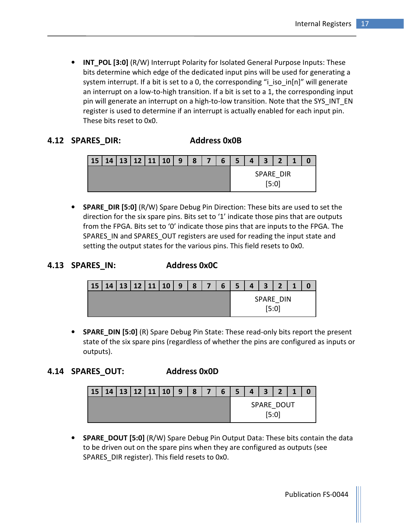• INT POL [3:0] (R/W) Interrupt Polarity for Isolated General Purpose Inputs: These bits determine which edge of the dedicated input pins will be used for generating a system interrupt. If a bit is set to a 0, the corresponding "i\_iso\_in[n]" will generate an interrupt on a low-to-high transition. If a bit is set to a 1, the corresponding input pin will generate an interrupt on a high-to-low transition. Note that the SYS INT EN register is used to determine if an interrupt is actually enabled for each input pin. These bits reset to 0x0.

#### 4.12 SPARES\_DIR: Address 0x0B

| 15   14   13   12   11   10   9 |  |  | 8 | 7 <sup>1</sup> | 6 | 5 <sub>1</sub> | $\overline{\mathbf{4}}$ | 3 <sup>1</sup> | $\overline{2}$   |  |
|---------------------------------|--|--|---|----------------|---|----------------|-------------------------|----------------|------------------|--|
|                                 |  |  |   |                |   |                |                         |                | SPARE DIR<br>5:0 |  |

• SPARE\_DIR [5:0] (R/W) Spare Debug Pin Direction: These bits are used to set the direction for the six spare pins. Bits set to '1' indicate those pins that are outputs from the FPGA. Bits set to '0' indicate those pins that are inputs to the FPGA. The SPARES IN and SPARES OUT registers are used for reading the input state and setting the output states for the various pins. This field resets to 0x0.

#### 4.13 SPARES IN: Address 0x0C

| <b>15</b> | 14 | 13 |  | $12$   11   10 | 9 | 8 | 6 | -<br>э | $\overline{A}$ | 3 | $\bullet$        |  |
|-----------|----|----|--|----------------|---|---|---|--------|----------------|---|------------------|--|
|           |    |    |  |                |   |   |   |        |                |   | SPARE DIN<br>5:0 |  |

• SPARE\_DIN [5:0] (R) Spare Debug Pin State: These read-only bits report the present state of the six spare pins (regardless of whether the pins are configured as inputs or outputs).

#### 4.14 SPARES\_OUT: Address 0x0D

| <b>15</b> |  | $14$   13   12   11   10 | 9 | 8 | $\overline{7}$ | $6 \frac{1}{2}$ | 5 <sup>5</sup> | $\Delta$ | 3 <sup>1</sup> | $\overline{2}$                 | $\overline{1}$ |  |
|-----------|--|--------------------------|---|---|----------------|-----------------|----------------|----------|----------------|--------------------------------|----------------|--|
|           |  |                          |   |   |                |                 |                |          |                | SPARE DOUT<br>5:0 <sub>1</sub> |                |  |

• SPARE DOUT [5:0] (R/W) Spare Debug Pin Output Data: These bits contain the data to be driven out on the spare pins when they are configured as outputs (see SPARES\_DIR register). This field resets to 0x0.

Publication FS-0044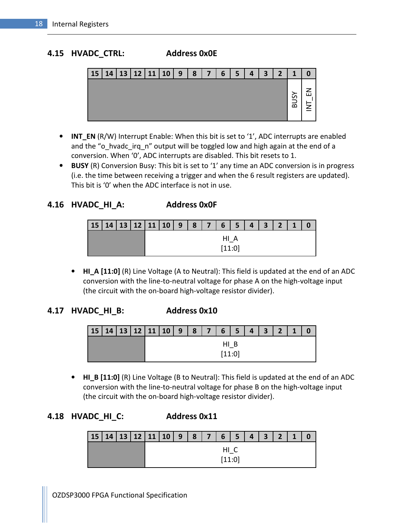#### 4.15 HVADC\_CTRL: Address 0x0E



- INT EN (R/W) Interrupt Enable: When this bit is set to '1', ADC interrupts are enabled and the "o hvadc irq n" output will be toggled low and high again at the end of a conversion. When '0', ADC interrupts are disabled. This bit resets to 1.
- BUSY (R) Conversion Busy: This bit is set to '1' any time an ADC conversion is in progress (i.e. the time between receiving a trigger and when the 6 result registers are updated). This bit is '0' when the ADC interface is not in use.

4.16 HVADC\_HI\_A: Address 0x0F

|  | 15   14   13   12   11   10   9   8   7   6   5   4   3 |              |  | 2 <sup>1</sup> | $\blacksquare$ |  |
|--|---------------------------------------------------------|--------------|--|----------------|----------------|--|
|  |                                                         | нι<br>[11:0] |  |                |                |  |

• HI A [11:0] (R) Line Voltage (A to Neutral): This field is updated at the end of an ADC conversion with the line-to-neutral voltage for phase A on the high-voltage input (the circuit with the on-board high-voltage resistor divider).

#### 4.17 HVADC\_HI\_B: Address 0x10

| $15$  14 13 12 11 10 9 8 7 6 5 4 3 2 1 |  |  |  |        |  |  |  |
|----------------------------------------|--|--|--|--------|--|--|--|
|                                        |  |  |  |        |  |  |  |
|                                        |  |  |  | [11:0] |  |  |  |

• HI\_B [11:0] (R) Line Voltage (B to Neutral): This field is updated at the end of an ADC conversion with the line-to-neutral voltage for phase B on the high-voltage input (the circuit with the on-board high-voltage resistor divider).

## 4.18 HVADC\_HI\_C: Address 0x11

|  |  | 15 14 13 12 11 10 9 8 7 6 5 4 3 2 1 |  |        |  |  |  |
|--|--|-------------------------------------|--|--------|--|--|--|
|  |  |                                     |  | HI C   |  |  |  |
|  |  |                                     |  | [11:0] |  |  |  |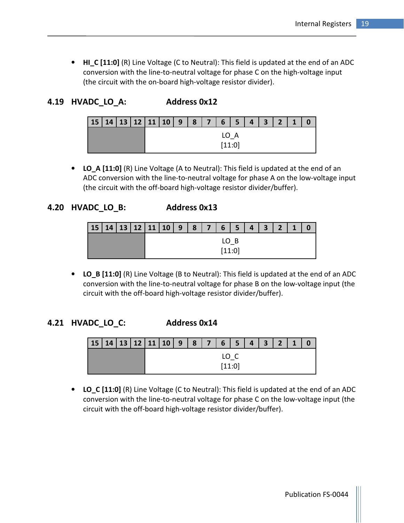• HI\_C [11:0] (R) Line Voltage (C to Neutral): This field is updated at the end of an ADC conversion with the line-to-neutral voltage for phase C on the high-voltage input (the circuit with the on-board high-voltage resistor divider).

4.19 HVADC LO A: Address 0x12

| <b>15</b> | 14   13   12   11   10   9 |  |  |  | 87 | $6 \mid 5$     |   | 4 <sup>1</sup> | $\overline{\mathbf{3}}$ | $\overline{2}$ |  |
|-----------|----------------------------|--|--|--|----|----------------|---|----------------|-------------------------|----------------|--|
|           |                            |  |  |  |    | LO  <br>[11:0] | A |                |                         |                |  |

• LO\_A [11:0] (R) Line Voltage (A to Neutral): This field is updated at the end of an ADC conversion with the line-to-neutral voltage for phase A on the low-voltage input (the circuit with the off-board high-voltage resistor divider/buffer).

#### 4.20 HVADC\_LO\_B: Address 0x13

| 15   14   13   12   11   10 |  |  | $\overline{9}$ | $\vert 8 \vert$ | 7 <sup>1</sup> | 6 <sup>7</sup> | 5 | $\vert 4 \vert$ | $\overline{\mathbf{3}}$ | $\overline{2}$ | $\blacksquare$ |  |
|-----------------------------|--|--|----------------|-----------------|----------------|----------------|---|-----------------|-------------------------|----------------|----------------|--|
|                             |  |  |                |                 |                | LO B           |   |                 |                         |                |                |  |
|                             |  |  |                |                 |                | [11:0]         |   |                 |                         |                |                |  |

• LO\_B [11:0] (R) Line Voltage (B to Neutral): This field is updated at the end of an ADC conversion with the line-to-neutral voltage for phase B on the low-voltage input (the circuit with the off-board high-voltage resistor divider/buffer).

#### 4.21 HVADC\_LO\_C: Address 0x14

| 15 14 13 12 11 10 9 8 7 65 4321 |  |  |  |        |  |  |  |
|---------------------------------|--|--|--|--------|--|--|--|
|                                 |  |  |  | LO C   |  |  |  |
|                                 |  |  |  | [11:0] |  |  |  |

• LO C [11:0] (R) Line Voltage (C to Neutral): This field is updated at the end of an ADC conversion with the line-to-neutral voltage for phase C on the low-voltage input (the circuit with the off-board high-voltage resistor divider/buffer).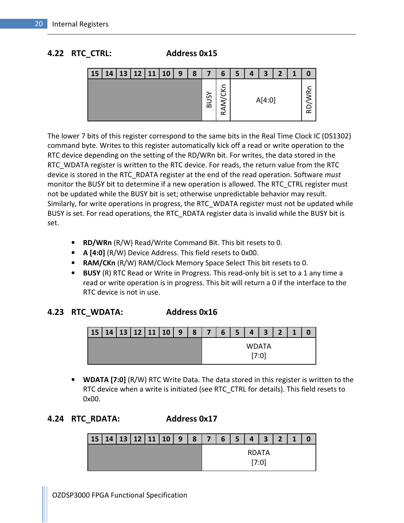#### 4.22 RTC\_CTRL: Address 0x15



| <b>15</b> | 14 | 13 | 12 | 11 | 10 | 9 | 8 | 7      | 6               | 4 | 3      | $\overline{2}$ | 1 |   |
|-----------|----|----|----|----|----|---|---|--------|-----------------|---|--------|----------------|---|---|
|           |    |    |    |    |    |   |   | ଌ<br>ಹ | ڲ<br>AM/CI<br>œ |   | A[4:0] |                |   | ∼ |

The lower 7 bits of this register correspond to the same bits in the Real Time Clock IC (DS1302) command byte. Writes to this register automatically kick off a read or write operation to the RTC device depending on the setting of the RD/WRn bit. For writes, the data stored in the RTC\_WDATA register is written to the RTC device. For reads, the return value from the RTC device is stored in the RTC\_RDATA register at the end of the read operation. Software must monitor the BUSY bit to determine if a new operation is allowed. The RTC\_CTRL register must not be updated while the BUSY bit is set; otherwise unpredictable behavior may result. Similarly, for write operations in progress, the RTC\_WDATA register must not be updated while BUSY is set. For read operations, the RTC RDATA register data is invalid while the BUSY bit is set.

- RD/WRn (R/W) Read/Write Command Bit. This bit resets to 0.
- A [4:0] (R/W) Device Address. This field resets to 0x00.
- RAM/CKn (R/W) RAM/Clock Memory Space Select This bit resets to 0.
- BUSY (R) RTC Read or Write in Progress. This read-only bit is set to a 1 any time a read or write operation is in progress. This bit will return a 0 if the interface to the RTC device is not in use.

#### 4.23 RTC\_WDATA: Address 0x16

| 15   14   13   12   11   10   9 |  |  |  | $8 \mid 7 \mid$ | <b>6</b> l | 5 <sup>1</sup> |       | $4 \mid 3 \mid$ | $\overline{2}$ |  |
|---------------------------------|--|--|--|-----------------|------------|----------------|-------|-----------------|----------------|--|
|                                 |  |  |  |                 |            |                | WDATA |                 |                |  |
|                                 |  |  |  |                 |            |                |       |                 |                |  |

• WDATA [7:0] (R/W) RTC Write Data. The data stored in this register is written to the RTC device when a write is initiated (see RTC\_CTRL for details). This field resets to 0x00.

### 4.24 RTC\_RDATA: Address 0x17

| 15   14   13   12   11   10   9   8   7   6   5   4   3   2 |  |  |  |  |       |  | $\mathbf{1}$ |  |
|-------------------------------------------------------------|--|--|--|--|-------|--|--------------|--|
|                                                             |  |  |  |  | RDATA |  |              |  |
|                                                             |  |  |  |  | [7:0] |  |              |  |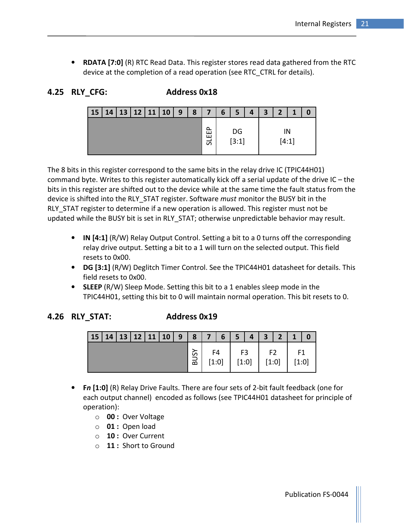• RDATA [7:0] (R) RTC Read Data. This register stores read data gathered from the RTC device at the completion of a read operation (see RTC\_CTRL for details).

| 4.25 RLY CFG: |  |
|---------------|--|
|               |  |

#### Address 0x18

| <b>15</b> | 14 |  | 13   12   11   10 | $\mathbf{9}$ | 8 | $\overline{7}$    | 6 | 5             | 4 | $\overline{\mathbf{3}}$ | $\overline{2}$ | 1 |  |
|-----------|----|--|-------------------|--------------|---|-------------------|---|---------------|---|-------------------------|----------------|---|--|
|           |    |  |                   |              |   | ∩<br>ш<br>п.<br>5 |   | $DG$<br>[3:1] |   |                         | [4:1]          |   |  |

The 8 bits in this register correspond to the same bits in the relay drive IC (TPIC44H01) command byte. Writes to this register automatically kick off a serial update of the drive IC – the bits in this register are shifted out to the device while at the same time the fault status from the device is shifted into the RLY\_STAT register. Software *must* monitor the BUSY bit in the RLY STAT register to determine if a new operation is allowed. This register must not be updated while the BUSY bit is set in RLY\_STAT; otherwise unpredictable behavior may result.

- IN [4:1] (R/W) Relay Output Control. Setting a bit to a 0 turns off the corresponding relay drive output. Setting a bit to a 1 will turn on the selected output. This field resets to 0x00.
- DG [3:1] (R/W) Deglitch Timer Control. See the TPIC44H01 datasheet for details. This field resets to 0x00.
- SLEEP (R/W) Sleep Mode. Setting this bit to a 1 enables sleep mode in the TPIC44H01, setting this bit to 0 will maintain normal operation. This bit resets to 0.

#### 4.26 RLY STAT: Address 0x19

| $15 \mid 14 \mid 13 \mid 12 \mid 11 \mid 10 \mid 9 \mid 8 \mid 7 \mid 6 \mid 5 \mid 4 \mid 3 \mid 2 \mid 1 \mid 0$ |  |  |  |       |                                                                                                                                                                                                  |  |                 |               |  |
|--------------------------------------------------------------------------------------------------------------------|--|--|--|-------|--------------------------------------------------------------------------------------------------------------------------------------------------------------------------------------------------|--|-----------------|---------------|--|
|                                                                                                                    |  |  |  | [1:0] | $\sqrt{\frac{5}{22}}\begin{bmatrix} 54 \\ 1:01 \end{bmatrix}$ $\begin{bmatrix} 53 \\ 1:01 \end{bmatrix}$ $\begin{bmatrix} 52 \\ 1:01 \end{bmatrix}$ $\begin{bmatrix} 1:01 \\ 1:01 \end{bmatrix}$ |  | $[1:0]$ $[1:0]$ | F1<br>$[1:0]$ |  |

- Fn [1:0] (R) Relay Drive Faults. There are four sets of 2-bit fault feedback (one for each output channel) encoded as follows (see TPIC44H01 datasheet for principle of operation):
	- o 00 : Over Voltage
	- $\circ$  01 : Open load
	- o 10 : Over Current
	- o 11 : Short to Ground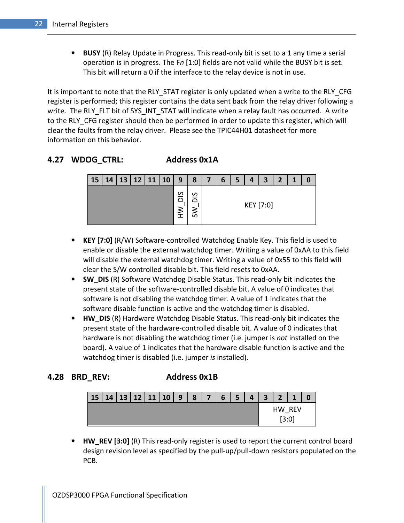• BUSY (R) Relay Update in Progress. This read-only bit is set to a 1 any time a serial operation is in progress. The  $Fn$  [1:0] fields are not valid while the BUSY bit is set. This bit will return a 0 if the interface to the relay device is not in use.

It is important to note that the RLY STAT register is only updated when a write to the RLY CFG register is performed; this register contains the data sent back from the relay driver following a write. The RLY\_FLT bit of SYS\_INT\_STAT will indicate when a relay fault has occurred. A write to the RLY CFG register should then be performed in order to update this register, which will clear the faults from the relay driver. Please see the TPIC44H01 datasheet for more information on this behavior.

#### 4.27 WDOG\_CTRL: Address 0x1A



- KEY [7:0] (R/W) Software-controlled Watchdog Enable Key. This field is used to enable or disable the external watchdog timer. Writing a value of 0xAA to this field will disable the external watchdog timer. Writing a value of 0x55 to this field will clear the S/W controlled disable bit. This field resets to 0xAA.
- SW DIS (R) Software Watchdog Disable Status. This read-only bit indicates the present state of the software-controlled disable bit. A value of 0 indicates that software is not disabling the watchdog timer. A value of 1 indicates that the software disable function is active and the watchdog timer is disabled.
- HW DIS (R) Hardware Watchdog Disable Status. This read-only bit indicates the present state of the hardware-controlled disable bit. A value of 0 indicates that hardware is not disabling the watchdog timer (i.e. jumper is not installed on the board). A value of 1 indicates that the hardware disable function is active and the watchdog timer is disabled (i.e. jumper is installed).

#### 4.28 BRD\_REV: Address 0x1B

| 15 |  |  | 14   13   12   11   10 | 9 | 8 | $\overline{7}$ | 6 | 5 | $\overline{\mathbf{3}}$ | $\overline{2}$ | $\overline{\mathbf{A}}$ |  |
|----|--|--|------------------------|---|---|----------------|---|---|-------------------------|----------------|-------------------------|--|
|    |  |  |                        |   |   |                |   |   |                         | 3:0            | HW REV                  |  |

• HW\_REV [3:0] (R) This read-only register is used to report the current control board design revision level as specified by the pull-up/pull-down resistors populated on the PCB.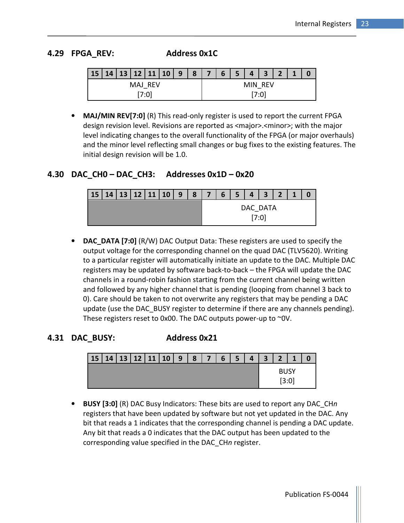#### 4.29 FPGA\_REV: Address 0x1C

| 15 14 13 12 11 10 9 8 7 |         |       |  |  | 6 5 |         | $4 \mid 3 \mid 2 \mid$ | $\sqrt{1}$ |  |
|-------------------------|---------|-------|--|--|-----|---------|------------------------|------------|--|
|                         | MAJ REV |       |  |  |     | MIN RFV |                        |            |  |
|                         |         | ו0:7' |  |  |     | 7:0     |                        |            |  |

• MAJ/MIN REV[7:0] (R) This read-only register is used to report the current FPGA design revision level. Revisions are reported as <major>.<minor>; with the major level indicating changes to the overall functionality of the FPGA (or major overhauls) and the minor level reflecting small changes or bug fixes to the existing features. The initial design revision will be 1.0.

#### 4.30 DAC CH0 – DAC CH3: Addresses 0x1D – 0x20

| 15 | 14 13 12 11 10 9 |  |  | 8 I | $\overline{7}$ | 6 <sup>1</sup> | 5 <sub>1</sub> | 4        | $\overline{\mathbf{3}}$ | $\overline{2}$ |  |
|----|------------------|--|--|-----|----------------|----------------|----------------|----------|-------------------------|----------------|--|
|    |                  |  |  |     |                |                |                | DAC DATA | 7:0                     |                |  |

• DAC DATA [7:0] (R/W) DAC Output Data: These registers are used to specify the output voltage for the corresponding channel on the quad DAC (TLV5620). Writing to a particular register will automatically initiate an update to the DAC. Multiple DAC registers may be updated by software back-to-back – the FPGA will update the DAC channels in a round-robin fashion starting from the current channel being written and followed by any higher channel that is pending (looping from channel 3 back to 0). Care should be taken to not overwrite any registers that may be pending a DAC update (use the DAC\_BUSY register to determine if there are any channels pending). These registers reset to 0x00. The DAC outputs power-up to ~0V.

### 4.31 DAC\_BUSY: Address 0x21



• BUSY [3:0] (R) DAC Busy Indicators: These bits are used to report any DAC CHn registers that have been updated by software but not yet updated in the DAC. Any bit that reads a 1 indicates that the corresponding channel is pending a DAC update. Any bit that reads a 0 indicates that the DAC output has been updated to the corresponding value specified in the DAC\_CHn register.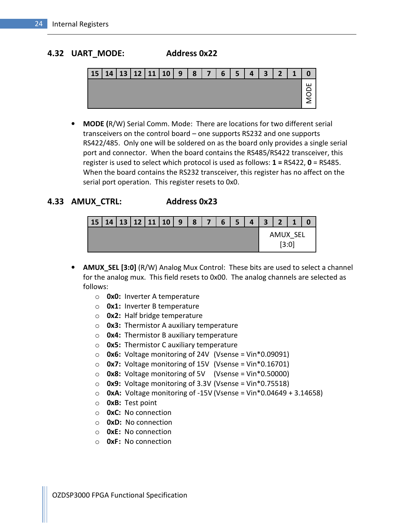#### 4.32 UART\_MODE: Address 0x22



• MODE (R/W) Serial Comm. Mode: There are locations for two different serial transceivers on the control board – one supports RS232 and one supports RS422/485. Only one will be soldered on as the board only provides a single serial port and connector. When the board contains the RS485/RS422 transceiver, this register is used to select which protocol is used as follows:  $1 = RSA22$ ,  $0 = RS485$ . When the board contains the RS232 transceiver, this register has no affect on the serial port operation. This register resets to 0x0.

#### 4.33 AMUX\_CTRL: Address 0x23

| 15   14   13   12   11   10 |  |  | 9 | 8 | $\overline{7}$ | 6 | 5 <sup>1</sup> | $\mathbf{A}$ | 3 <sup>1</sup> | $\mathbf{D}$ |          |  |
|-----------------------------|--|--|---|---|----------------|---|----------------|--------------|----------------|--------------|----------|--|
|                             |  |  |   |   |                |   |                |              |                |              | AMUX SEL |  |
|                             |  |  |   |   |                |   |                |              |                | [3:0]        |          |  |

- AMUX\_SEL [3:0] (R/W) Analog Mux Control: These bits are used to select a channel for the analog mux. This field resets to 0x00. The analog channels are selected as follows:
	- $\circ$  **0x0:** Inverter A temperature
	- $\circ$  Ox1: Inverter B temperature
	- $\circ$  Ox2: Half bridge temperature
	- $\circ$  0x3: Thermistor A auxiliary temperature
	- $\circ$  Ox4: Thermistor B auxiliary temperature
	- $\circ$  0x5: Thermistor C auxiliary temperature
	- $\circ$  Ox6: Voltage monitoring of 24V (Vsense = Vin\*0.09091)
	- $\circ$  Ox7: Voltage monitoring of 15V (Vsense = Vin\*0.16701)
	- $\circ$  0x8: Voltage monitoring of 5V (Vsense = Vin\*0.50000)
	- $\circ$  0x9: Voltage monitoring of 3.3V (Vsense = Vin\*0.75518)
	- $\circ$  OxA: Voltage monitoring of -15V (Vsense = Vin\*0.04649 + 3.14658)
	- o 0xB: Test point
	- o 0xC: No connection
	- o 0xD: No connection
	- $\circ$  OxE: No connection
	- $\circ$  OxF: No connection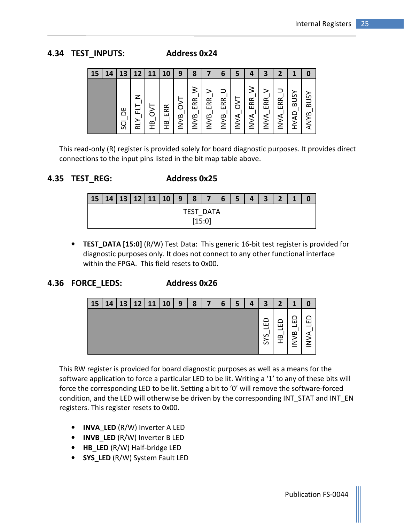#### 4.34 TEST\_INPUTS: Address 0x24

| 15 | $\boldsymbol{4}$ | 13       | 12            |   |                         | 9                | 8           |                 | 6           |             | 4                                    | 3                 |                    |                     |                            |
|----|------------------|----------|---------------|---|-------------------------|------------------|-------------|-----------------|-------------|-------------|--------------------------------------|-------------------|--------------------|---------------------|----------------------------|
|    |                  | ш<br>င္တ | ╱<br>ᇎ<br>RLY | ≌ | Æ<br>ш<br>$\frac{1}{2}$ | δ<br><b>INVB</b> | ERR<br>INVB | RR<br>ш<br>INVB | ERR<br>INVB | <b>INVA</b> | ≶<br>ERR <sub>'</sub><br><b>INVA</b> | ERR<br><b>AVN</b> | ERR<br><b>INVA</b> | <b>BUSY</b><br>HVAD | <b>BUSY</b><br><b>ANYB</b> |

This read-only (R) register is provided solely for board diagnostic purposes. It provides direct connections to the input pins listed in the bit map table above.

#### 4.35 TEST\_REG: Address 0x25

| <b>15</b> | 14 |  | 13   12   11   10 | 9 | 8 | $\overline{ }$ | 6 | 5 <sup>5</sup> | $\Delta$ | $\overline{\mathbf{3}}$ | $\overline{\mathbf{z}}$ |  |
|-----------|----|--|-------------------|---|---|----------------|---|----------------|----------|-------------------------|-------------------------|--|
|           |    |  |                   |   |   | TEST DATA      |   |                |          |                         |                         |  |
|           |    |  |                   |   |   | $[15:0]$       |   |                |          |                         |                         |  |

• TEST\_DATA [15:0] (R/W) Test Data: This generic 16-bit test register is provided for diagnostic purposes only. It does not connect to any other functional interface within the FPGA. This field resets to 0x00.

#### 4.36 FORCE\_LEDS: Address 0x26



This RW register is provided for board diagnostic purposes as well as a means for the software application to force a particular LED to be lit. Writing a '1' to any of these bits will force the corresponding LED to be lit. Setting a bit to '0' will remove the software-forced condition, and the LED will otherwise be driven by the corresponding INT\_STAT and INT\_EN registers. This register resets to 0x00.

- INVA LED (R/W) Inverter A LED
- INVB\_LED (R/W) Inverter B LED
- HB\_LED (R/W) Half-bridge LED
- SYS\_LED (R/W) System Fault LED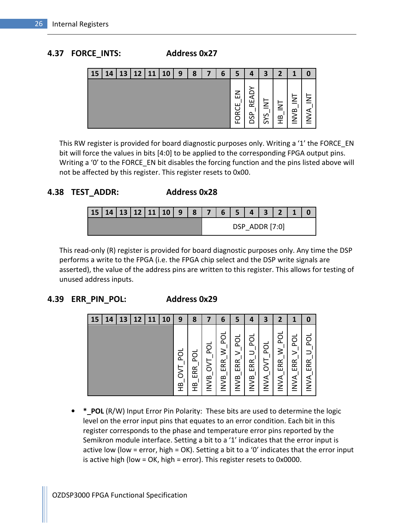#### 4.37 FORCE\_INTS: Address 0x27

| 15 | Δ | 13 | 12 | <u>11</u> | <b>10</b> | 9 | 8 | 6 | э                           | Д                | З         |             |             |        |
|----|---|----|----|-----------|-----------|---|---|---|-----------------------------|------------------|-----------|-------------|-------------|--------|
|    |   |    |    |           |           |   |   |   | 7<br>ш<br>œ<br>$\mathbf{H}$ | ℯ<br>ш<br>ᠭ<br>೫ | ِصِ<br>ÖΩ | z<br>≃<br>т | z<br>≃<br>⋛ | ↗<br>7 |

This RW register is provided for board diagnostic purposes only. Writing a '1' the FORCE\_EN bit will force the values in bits [4:0] to be applied to the corresponding FPGA output pins. Writing a '0' to the FORCE\_EN bit disables the forcing function and the pins listed above will not be affected by this register. This register resets to 0x00.

#### 4.38 TEST\_ADDR: Address 0x28

| 15   14   13   12   11   10   9   8   7   6   5 |  |  |  |  | $4 \mid$ | $\overline{\mathbf{3}}$ |                |  |
|-------------------------------------------------|--|--|--|--|----------|-------------------------|----------------|--|
|                                                 |  |  |  |  |          |                         | DSP ADDR [7:0] |  |

This read-only (R) register is provided for board diagnostic purposes only. Any time the DSP performs a write to the FPGA (i.e. the FPGA chip select and the DSP write signals are asserted), the value of the address pins are written to this register. This allows for testing of unused address inputs.

#### 4.39 ERR\_PIN\_POL: Address 0x29

| 14 | 13 | 12 | 11 | 10 | 9                 | 8              |                       | 6                             | 5                            | 4                       | 3                     |                              |                             |                                   |
|----|----|----|----|----|-------------------|----------------|-----------------------|-------------------------------|------------------------------|-------------------------|-----------------------|------------------------------|-----------------------------|-----------------------------------|
|    |    |    |    |    | ō<br>ᡛ<br>δ<br>ΞÊ | ğ<br>ERR.<br>Ξ | ă<br>δ<br><b>INVB</b> | ă<br>≶<br>ERR.<br><b>INVB</b> | ဥ<br>⋗<br>ERR<br><b>INVB</b> | ă<br>ERR<br><b>INVB</b> | ğ<br>δ<br><b>AVNI</b> | ā<br>≶<br>ERR<br><b>AVNI</b> | ᇗ<br>><br>ERR<br><b>NVA</b> | $\propto$<br>∝<br>ш<br><b>NVA</b> |

• \* POL (R/W) Input Error Pin Polarity: These bits are used to determine the logic level on the error input pins that equates to an error condition. Each bit in this register corresponds to the phase and temperature error pins reported by the Semikron module interface. Setting a bit to a '1' indicates that the error input is active low (low = error, high = OK). Setting a bit to a '0' indicates that the error input is active high (low = OK, high = error). This register resets to 0x0000.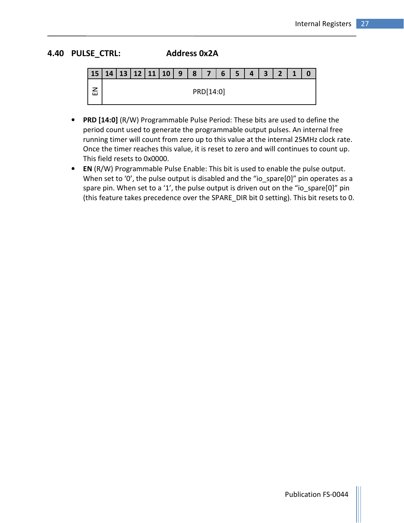#### 4.40 PULSE\_CTRL: Address 0x2A

|  |  | 15 14 13 12 11 10 9 8 7 65 |  |           |  | $\vert$ 4 $\vert$ | $3 \mid 2 \mid$ | $\overline{\mathbf{1}}$ |  |
|--|--|----------------------------|--|-----------|--|-------------------|-----------------|-------------------------|--|
|  |  |                            |  | PRD[14:0] |  |                   |                 |                         |  |

- PRD [14:0] (R/W) Programmable Pulse Period: These bits are used to define the period count used to generate the programmable output pulses. An internal free running timer will count from zero up to this value at the internal 25MHz clock rate. Once the timer reaches this value, it is reset to zero and will continues to count up. This field resets to 0x0000.
- EN (R/W) Programmable Pulse Enable: This bit is used to enable the pulse output. When set to '0', the pulse output is disabled and the "io\_spare[0]" pin operates as a spare pin. When set to a '1', the pulse output is driven out on the "io\_spare[0]" pin (this feature takes precedence over the SPARE\_DIR bit 0 setting). This bit resets to 0.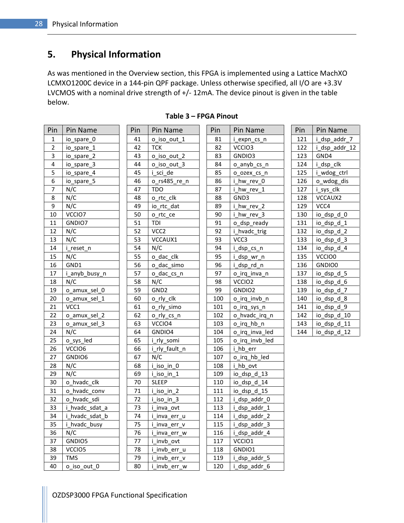## 5. Physical Information

As was mentioned in the Overview section, this FPGA is implemented using a Lattice MachXO LCMXO1200C device in a 144-pin QPF package. Unless otherwise specified, all I/O are +3.3V LVCMOS with a nominal drive strength of +/- 12mA. The device pinout is given in the table below.

| Pin              | Pin Name       | Pin | Pin Name                  | Pin | Pin Name            | Pin | Pin Name      |
|------------------|----------------|-----|---------------------------|-----|---------------------|-----|---------------|
| 1                | io_spare_0     | 41  | o_iso_out_1               | 81  | i_expn_cs_n         | 121 | i_dsp_addr_7  |
| $\overline{2}$   | io spare 1     | 42  | <b>TCK</b>                | 82  | VCCIO3              | 122 | i dsp addr 12 |
| $\overline{3}$   | io_spare_2     | 43  | o_iso_out_2               | 83  | GNDIO3              | 123 | GND4          |
| $\pmb{4}$        | io_spare_3     | 44  | o iso out 3               | 84  | o_anyb_cs_n         | 124 | i_dsp_clk     |
| 5                | io_spare_4     | 45  | i sci de                  | 85  | o_ozex_cs_n         | 125 | i_wdog_ctrl   |
| 6                | io_spare_5     | 46  | o_rs485_re_n              | 86  | i hw rev 0          | 126 | o wdog dis    |
| $\overline{7}$   | N/C            | 47  | <b>TDO</b>                | 87  | i_hw_rev_1          | 127 | i_sys_clk     |
| 8                | N/C            | 48  | o rtc clk                 | 88  | GND3                | 128 | VCCAUX2       |
| $\boldsymbol{9}$ | N/C            | 49  | io_rtc_dat                | 89  | i_hw_rev_2          | 129 | VCC4          |
| 10               | VCCIO7         | 50  | o_rtc_ce                  | 90  | i_hw_rev 3          | 130 | $io\_dsp_d_0$ |
| 11               | GNDIO7         | 51  | TDI                       | 91  | o dsp ready         | 131 | io_dsp_d_1    |
| 12               | N/C            | 52  | VCC <sub>2</sub>          | 92  | <i>i</i> hvadc trig | 132 | io_dsp_d_2    |
| 13               | N/C            | 53  | VCCAUX1                   | 93  | VCC <sub>3</sub>    | 133 | io_dsp_d_3    |
| 14               | i reset_n      | 54  | N/C                       | 94  | i_dsp_cs_n          | 134 | io dsp d 4    |
| 15               | N/C            | 55  | o_dac_clk                 | 95  | i_dsp_wr_n          | 135 | VCCIO0        |
| 16               | GND1           | 56  | o_dac_simo                | 96  | i_dsp_rd_n          | 136 | GNDIO0        |
| 17               | i_anyb_busy_n  | 57  | o dac cs n                | 97  | o_irq_inva_n        | 137 | io_dsp_d_5    |
| 18               | N/C            | 58  | N/C                       | 98  | VCCIO <sub>2</sub>  | 138 | io_dsp_d_6    |
| 19               | o_amux_sel_0   | 59  | GND <sub>2</sub>          | 99  | GNDIO <sub>2</sub>  | 139 | io_dsp_d_7    |
| 20               | o_amux_sel_1   | 60  | o rly clk                 | 100 | o_irq_invb_n        | 140 | io_dsp_d_8    |
| 21               | VCC1           | 61  | o_rly_simo                | 101 | o_irq_sys_n         | 141 | io_dsp_d_9    |
| 22               | o_amux_sel_2   | 62  | o_rly_cs_n                | 102 | o hvadc irq n       | 142 | io_dsp_d_10   |
| 23               | o amux sel 3   | 63  | VCCIO4                    | 103 | o_irq_hb_n          | 143 | io_dsp_d_11   |
| 24               | N/C            | 64  | GNDIO4                    | 104 | o irq inva led      | 144 | io_dsp_d_12   |
| 25               | o_sys_led      | 65  | i_rly_somi                | 105 | o_irq_invb_led      |     |               |
| 26               | VCCIO6         | 66  | i rly fault n             | 106 | i_hb_err            |     |               |
| 27               | GNDIO6         | 67  | N/C                       | 107 | o irq hb led        |     |               |
| 28               | N/C            | 68  | i_iso_in_0                | 108 | i hb ovt            |     |               |
| 29               | N/C            | 69  | i_iso_in_1                | 109 | io_dsp_d_13         |     |               |
| 30               | o hvadc clk    | 70  | <b>SLEEP</b>              | 110 | io_dsp_d_14         |     |               |
| 31               | o_hvadc_conv   | 71  | i_iso_in_2                | 111 | io_dsp_d_15         |     |               |
| 32               | o hvadc sdi    | 72  | $i$ <sub>_</sub> iso_in_3 | 112 | i_dsp_addr_0        |     |               |
| 33               | i hvadc sdat a | 73  | i inva ovt                | 113 | i dsp_addr_1        |     |               |
| 34               | i_hvadc_sdat_b | 74  | i_inva_err_u              | 114 | i_dsp_addr_2        |     |               |
| 35               | i_hvadc_busy   | 75  | i inva err v              | 115 | i_dsp_addr_3        |     |               |
| 36               | N/C            | 76  | i inva err w              | 116 | i_dsp_addr_4        |     |               |
| 37               | GNDIO5         | 77  | i_invb_ovt                | 117 | VCCIO1              |     |               |
| 38               | VCCIO5         | 78  | i_invb_err_u              | 118 | GNDIO1              |     |               |
| 39               | <b>TMS</b>     | 79  | i invb err v              | 119 | i dsp addr 5        |     |               |

 $i$  iso\_in\_2 i iso in 3 i inva ovt i\_inva\_err\_u i\_inva\_err\_v i\_inva\_err\_w i\_invb\_ovt i\_invb\_err\_u i\_invb\_err\_v 40 o\_iso\_out\_0 80 i\_invb\_err\_w 120 i\_dsp\_addr\_6

| Pin             | Pin Name                     |
|-----------------|------------------------------|
| 81              | i_expn_cs_n                  |
| 82              | VCCIO3                       |
| 83              | GNDIO3                       |
| 84              | o_anyb_cs_n                  |
| $\overline{85}$ | o_ozex_cs_n                  |
| 86              | i_hw_rev_0                   |
| 87              | i_hw_rev_1                   |
| 88              | GND3                         |
| 89              | i_hw_rev_2                   |
| 90              | i_hw_rev_3                   |
| 91              | o_dsp_ready                  |
| 92              | i_hvadc_trig                 |
| 93              | VCC3                         |
| 94              | i_dsp_cs_n                   |
| 95              | i_dsp_wr_n                   |
| 96              | i_dsp_rd_n                   |
| 97              | o_irq_inva_n                 |
| 98              | VCCIO <sub>2</sub>           |
| 99              | GNDIO2                       |
| 100             | o_irq_invb_n                 |
| 101             | o_irq_sys_n                  |
| 102             | o_hvadc_irq_n                |
| 103             | $o$ _irq_hb_n                |
| 104             | $o_$ irq_inva_led            |
| 105             | o_irq_invb_led               |
| 106             | i_hb_err                     |
| $\frac{1}{107}$ | o_irq_hb_led                 |
| 108             | i_hb_ovt<br>io_dsp_d_13      |
| 109             |                              |
| 110             | $\frac{-}{\log_{10} d_{14}}$ |
| 111             | io_dsp_d_15                  |
| 112             | i_dsp_addr_0                 |
| 113             | i_dsp_addr_1                 |
| 114             | $\frac{1}{1}$ dsp_addr_2     |
| 115             | i_dsp_addr_3                 |
| 116             | i_dsp_addr_4                 |
| 117             | VCCIO1                       |
| 118             | GNDIO1                       |
| 119             | i_dsp_addr_<br>5             |

| Pin | Pin Name      |
|-----|---------------|
| 121 | i_dsp_addr_7  |
| 122 | i_dsp_addr_12 |
| 123 | GND4          |
| 124 | i_dsp_clk     |
| 125 | i_wdog_ctrl   |
| 126 | o_wdog_dis    |
| 127 | i_sys_clk     |
| 128 | VCCAUX2       |
| 129 | VCC4          |
| 130 | io_dsp_d_0    |
| 131 | io_dsp_d_1    |
| 132 | io_dsp_d_2    |
| 133 | io_dsp_d_3    |
| 134 | io_dsp_d_4    |
| 135 | VCCIO0        |
| 136 | GNDIO0        |
| 137 | io_dsp_d_5    |
| 138 | io_dsp_d_6    |
| 139 | io_dsp_d_7    |
| 140 | io_dsp_d_8    |
| 141 | io_dsp_d_9    |
| 142 | io_dsp_d_10   |
| 143 | io_dsp_d_11   |
| 144 | io_dsp_d_12   |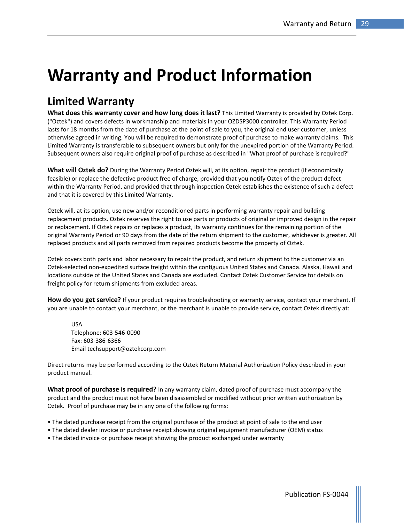# Warranty and Product Information

## Limited Warranty

What does this warranty cover and how long does it last? This Limited Warranty is provided by Oztek Corp. ("Oztek") and covers defects in workmanship and materials in your OZDSP3000 controller. This Warranty Period lasts for 18 months from the date of purchase at the point of sale to you, the original end user customer, unless otherwise agreed in writing. You will be required to demonstrate proof of purchase to make warranty claims. This Limited Warranty is transferable to subsequent owners but only for the unexpired portion of the Warranty Period. Subsequent owners also require original proof of purchase as described in "What proof of purchase is required?"

What will Oztek do? During the Warranty Period Oztek will, at its option, repair the product (if economically feasible) or replace the defective product free of charge, provided that you notify Oztek of the product defect within the Warranty Period, and provided that through inspection Oztek establishes the existence of such a defect and that it is covered by this Limited Warranty.

Oztek will, at its option, use new and/or reconditioned parts in performing warranty repair and building replacement products. Oztek reserves the right to use parts or products of original or improved design in the repair or replacement. If Oztek repairs or replaces a product, its warranty continues for the remaining portion of the original Warranty Period or 90 days from the date of the return shipment to the customer, whichever is greater. All replaced products and all parts removed from repaired products become the property of Oztek.

Oztek covers both parts and labor necessary to repair the product, and return shipment to the customer via an Oztek-selected non-expedited surface freight within the contiguous United States and Canada. Alaska, Hawaii and locations outside of the United States and Canada are excluded. Contact Oztek Customer Service for details on freight policy for return shipments from excluded areas.

How do you get service? If your product requires troubleshooting or warranty service, contact your merchant. If you are unable to contact your merchant, or the merchant is unable to provide service, contact Oztek directly at:

USA Telephone: 603-546-0090 Fax: 603-386-6366 Email techsupport@oztekcorp.com

Direct returns may be performed according to the Oztek Return Material Authorization Policy described in your product manual.

What proof of purchase is required? In any warranty claim, dated proof of purchase must accompany the product and the product must not have been disassembled or modified without prior written authorization by Oztek. Proof of purchase may be in any one of the following forms:

- The dated purchase receipt from the original purchase of the product at point of sale to the end user
- The dated dealer invoice or purchase receipt showing original equipment manufacturer (OEM) status
- The dated invoice or purchase receipt showing the product exchanged under warranty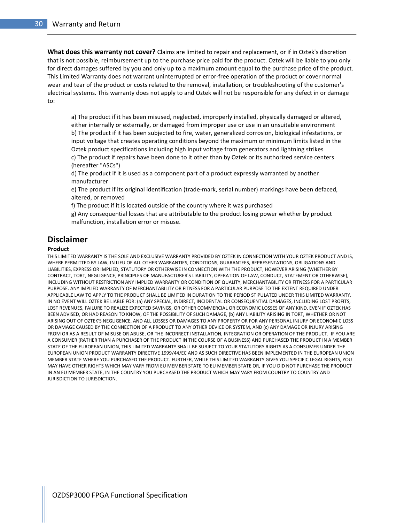What does this warranty not cover? Claims are limited to repair and replacement, or if in Oztek's discretion that is not possible, reimbursement up to the purchase price paid for the product. Oztek will be liable to you only for direct damages suffered by you and only up to a maximum amount equal to the purchase price of the product. This Limited Warranty does not warrant uninterrupted or error-free operation of the product or cover normal wear and tear of the product or costs related to the removal, installation, or troubleshooting of the customer's electrical systems. This warranty does not apply to and Oztek will not be responsible for any defect in or damage to:

a) The product if it has been misused, neglected, improperly installed, physically damaged or altered, either internally or externally, or damaged from improper use or use in an unsuitable environment b) The product if it has been subjected to fire, water, generalized corrosion, biological infestations, or input voltage that creates operating conditions beyond the maximum or minimum limits listed in the Oztek product specifications including high input voltage from generators and lightning strikes c) The product if repairs have been done to it other than by Oztek or its authorized service centers (hereafter "ASCs")

d) The product if it is used as a component part of a product expressly warranted by another manufacturer

e) The product if its original identification (trade-mark, serial number) markings have been defaced, altered, or removed

f) The product if it is located outside of the country where it was purchased

g) Any consequential losses that are attributable to the product losing power whether by product malfunction, installation error or misuse.

#### Disclaimer

#### Product

THIS LIMITED WARRANTY IS THE SOLE AND EXCLUSIVE WARRANTY PROVIDED BY OZTEK IN CONNECTION WITH YOUR OZTEK PRODUCT AND IS, WHERE PERMITTED BY LAW, IN LIEU OF ALL OTHER WARRANTIES, CONDITIONS, GUARANTEES, REPRESENTATIONS, OBLIGATIONS AND LIABILITIES, EXPRESS OR IMPLIED, STATUTORY OR OTHERWISE IN CONNECTION WITH THE PRODUCT, HOWEVER ARISING (WHETHER BY CONTRACT, TORT, NEGLIGENCE, PRINCIPLES OF MANUFACTURER'S LIABILITY, OPERATION OF LAW, CONDUCT, STATEMENT OR OTHERWISE), INCLUDING WITHOUT RESTRICTION ANY IMPLIED WARRANTY OR CONDITION OF QUALITY, MERCHANTABILITY OR FITNESS FOR A PARTICULAR PURPOSE. ANY IMPLIED WARRANTY OF MERCHANTABILITY OR FITNESS FOR A PARTICULAR PURPOSE TO THE EXTENT REQUIRED UNDER APPLICABLE LAW TO APPLY TO THE PRODUCT SHALL BE LIMITED IN DURATION TO THE PERIOD STIPULATED UNDER THIS LIMITED WARRANTY. IN NO EVENT WILL OZTEK BE LIABLE FOR: (a) ANY SPECIAL, INDIRECT, INCIDENTAL OR CONSEQUENTIAL DAMAGES, INCLUDING LOST PROFITS, LOST REVENUES, FAILURE TO REALIZE EXPECTED SAVINGS, OR OTHER COMMERCIAL OR ECONOMIC LOSSES OF ANY KIND, EVEN IF OZTEK HAS BEEN ADVISED, OR HAD REASON TO KNOW, OF THE POSSIBILITY OF SUCH DAMAGE, (b) ANY LIABILITY ARISING IN TORT, WHETHER OR NOT ARISING OUT OF OZTEK'S NEGLIGENCE, AND ALL LOSSES OR DAMAGES TO ANY PROPERTY OR FOR ANY PERSONAL INJURY OR ECONOMIC LOSS OR DAMAGE CAUSED BY THE CONNECTION OF A PRODUCT TO ANY OTHER DEVICE OR SYSTEM, AND (c) ANY DAMAGE OR INJURY ARISING FROM OR AS A RESULT OF MISUSE OR ABUSE, OR THE INCORRECT INSTALLATION, INTEGRATION OR OPERATION OF THE PRODUCT. IF YOU ARE A CONSUMER (RATHER THAN A PURCHASER OF THE PRODUCT IN THE COURSE OF A BUSINESS) AND PURCHASED THE PRODUCT IN A MEMBER STATE OF THE EUROPEAN UNION, THIS LIMITED WARRANTY SHALL BE SUBJECT TO YOUR STATUTORY RIGHTS AS A CONSUMER UNDER THE EUROPEAN UNION PRODUCT WARRANTY DIRECTIVE 1999/44/EC AND AS SUCH DIRECTIVE HAS BEEN IMPLEMENTED IN THE EUROPEAN UNION MEMBER STATE WHERE YOU PURCHASED THE PRODUCT. FURTHER, WHILE THIS LIMITED WARRANTY GIVES YOU SPECIFIC LEGAL RIGHTS, YOU MAY HAVE OTHER RIGHTS WHICH MAY VARY FROM EU MEMBER STATE TO EU MEMBER STATE OR, IF YOU DID NOT PURCHASE THE PRODUCT IN AN EU MEMBER STATE, IN THE COUNTRY YOU PURCHASED THE PRODUCT WHICH MAY VARY FROM COUNTRY TO COUNTRY AND JURISDICTION TO JURISDICTION.